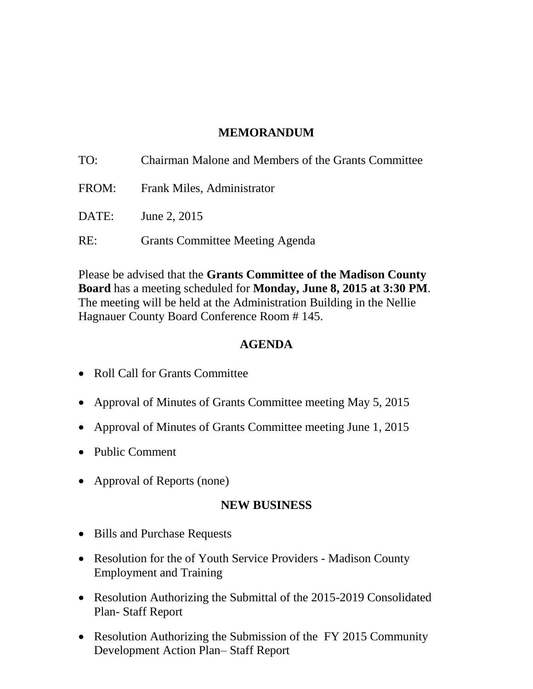### **MEMORANDUM**

| TO:   | Chairman Malone and Members of the Grants Committee |
|-------|-----------------------------------------------------|
|       | FROM: Frank Miles, Administrator                    |
| DATE: | June 2, 2015                                        |
| RE:   | <b>Grants Committee Meeting Agenda</b>              |

Please be advised that the **Grants Committee of the Madison County Board** has a meeting scheduled for **Monday, June 8, 2015 at 3:30 PM**. The meeting will be held at the Administration Building in the Nellie Hagnauer County Board Conference Room # 145.

### **AGENDA**

- Roll Call for Grants Committee
- Approval of Minutes of Grants Committee meeting May 5, 2015
- Approval of Minutes of Grants Committee meeting June 1, 2015
- Public Comment
- Approval of Reports (none)

#### **NEW BUSINESS**

- Bills and Purchase Requests
- Resolution for the of Youth Service Providers Madison County Employment and Training
- Resolution Authorizing the Submittal of the 2015-2019 Consolidated Plan- Staff Report
- Resolution Authorizing the Submission of the FY 2015 Community Development Action Plan– Staff Report